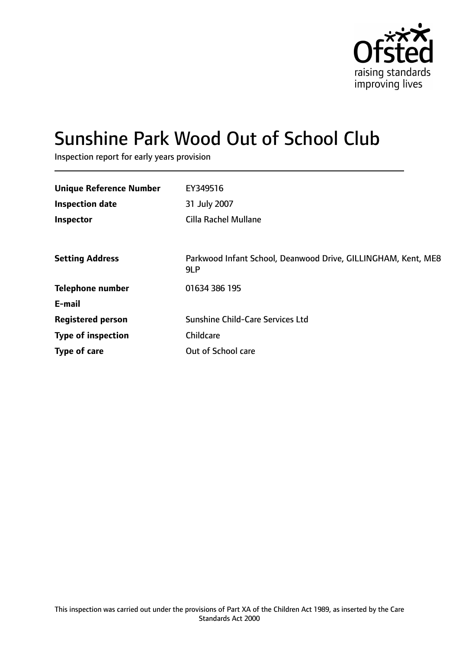

# Sunshine Park Wood Out of School Club

Inspection report for early years provision

| <b>Unique Reference Number</b> | EY349516                                                             |
|--------------------------------|----------------------------------------------------------------------|
| <b>Inspection date</b>         | 31 July 2007                                                         |
| Inspector                      | <b>Cilla Rachel Mullane</b>                                          |
|                                |                                                                      |
| <b>Setting Address</b>         | Parkwood Infant School, Deanwood Drive, GILLINGHAM, Kent, ME8<br>9LP |
| <b>Telephone number</b>        | 01634 386 195                                                        |
| E-mail                         |                                                                      |
| <b>Registered person</b>       | Sunshine Child-Care Services Ltd                                     |
| <b>Type of inspection</b>      | Childcare                                                            |
| Type of care                   | Out of School care                                                   |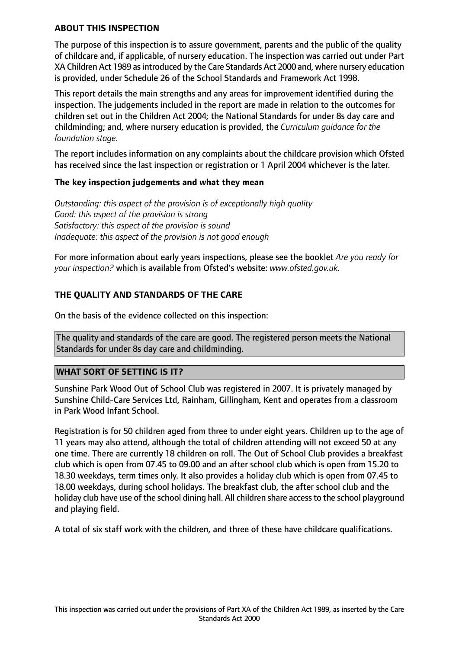## **ABOUT THIS INSPECTION**

The purpose of this inspection is to assure government, parents and the public of the quality of childcare and, if applicable, of nursery education. The inspection was carried out under Part XA Children Act 1989 as introduced by the Care Standards Act 2000 and, where nursery education is provided, under Schedule 26 of the School Standards and Framework Act 1998.

This report details the main strengths and any areas for improvement identified during the inspection. The judgements included in the report are made in relation to the outcomes for children set out in the Children Act 2004; the National Standards for under 8s day care and childminding; and, where nursery education is provided, the *Curriculum guidance for the foundation stage.*

The report includes information on any complaints about the childcare provision which Ofsted has received since the last inspection or registration or 1 April 2004 whichever is the later.

## **The key inspection judgements and what they mean**

*Outstanding: this aspect of the provision is of exceptionally high quality Good: this aspect of the provision is strong Satisfactory: this aspect of the provision is sound Inadequate: this aspect of the provision is not good enough*

For more information about early years inspections, please see the booklet *Are you ready for your inspection?* which is available from Ofsted's website: *www.ofsted.gov.uk.*

## **THE QUALITY AND STANDARDS OF THE CARE**

On the basis of the evidence collected on this inspection:

The quality and standards of the care are good. The registered person meets the National Standards for under 8s day care and childminding.

## **WHAT SORT OF SETTING IS IT?**

Sunshine Park Wood Out of School Club was registered in 2007. It is privately managed by Sunshine Child-Care Services Ltd, Rainham, Gillingham, Kent and operates from a classroom in Park Wood Infant School.

Registration is for 50 children aged from three to under eight years. Children up to the age of 11 years may also attend, although the total of children attending will not exceed 50 at any one time. There are currently 18 children on roll. The Out of School Club provides a breakfast club which is open from 07.45 to 09.00 and an after school club which is open from 15.20 to 18.30 weekdays, term times only. It also provides a holiday club which is open from 07.45 to 18.00 weekdays, during school holidays. The breakfast club, the after school club and the holiday club have use of the school dining hall. All children share access to the school playground and playing field.

A total of six staff work with the children, and three of these have childcare qualifications.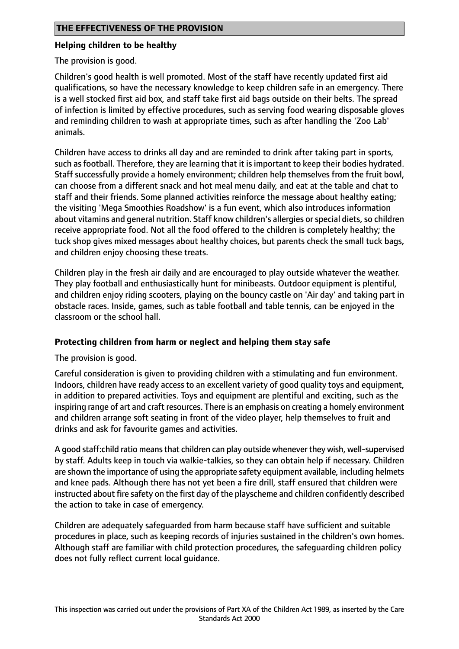## **THE EFFECTIVENESS OF THE PROVISION**

#### **Helping children to be healthy**

The provision is good.

Children's good health is well promoted. Most of the staff have recently updated first aid qualifications, so have the necessary knowledge to keep children safe in an emergency. There is a well stocked first aid box, and staff take first aid bags outside on their belts. The spread of infection is limited by effective procedures, such as serving food wearing disposable gloves and reminding children to wash at appropriate times, such as after handling the 'Zoo Lab' animals.

Children have access to drinks all day and are reminded to drink after taking part in sports, such as football. Therefore, they are learning that it is important to keep their bodies hydrated. Staff successfully provide a homely environment; children help themselves from the fruit bowl, can choose from a different snack and hot meal menu daily, and eat at the table and chat to staff and their friends. Some planned activities reinforce the message about healthy eating; the visiting 'Mega Smoothies Roadshow' is a fun event, which also introduces information about vitamins and general nutrition. Staff know children's allergies or special diets, so children receive appropriate food. Not all the food offered to the children is completely healthy; the tuck shop gives mixed messages about healthy choices, but parents check the small tuck bags, and children enjoy choosing these treats.

Children play in the fresh air daily and are encouraged to play outside whatever the weather. They play football and enthusiastically hunt for minibeasts. Outdoor equipment is plentiful, and children enjoy riding scooters, playing on the bouncy castle on 'Air day' and taking part in obstacle races. Inside, games, such as table football and table tennis, can be enjoyed in the classroom or the school hall.

## **Protecting children from harm or neglect and helping them stay safe**

The provision is good.

Careful consideration is given to providing children with a stimulating and fun environment. Indoors, children have ready access to an excellent variety of good quality toys and equipment, in addition to prepared activities. Toys and equipment are plentiful and exciting, such as the inspiring range of art and craft resources. There is an emphasis on creating a homely environment and children arrange soft seating in front of the video player, help themselves to fruit and drinks and ask for favourite games and activities.

A good staff:child ratio meansthat children can play outside whenever they wish, well-supervised by staff. Adults keep in touch via walkie-talkies, so they can obtain help if necessary. Children are shown the importance of using the appropriate safety equipment available, including helmets and knee pads. Although there has not yet been a fire drill, staff ensured that children were instructed about fire safety on the first day of the playscheme and children confidently described the action to take in case of emergency.

Children are adequately safeguarded from harm because staff have sufficient and suitable procedures in place, such as keeping records of injuries sustained in the children's own homes. Although staff are familiar with child protection procedures, the safeguarding children policy does not fully reflect current local guidance.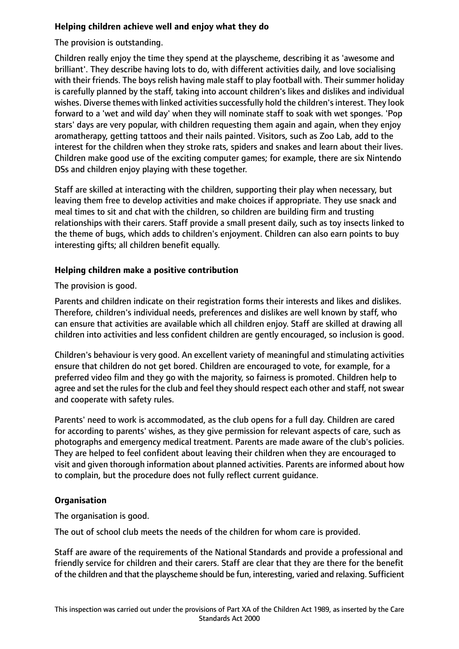## **Helping children achieve well and enjoy what they do**

The provision is outstanding.

Children really enjoy the time they spend at the playscheme, describing it as 'awesome and brilliant'. They describe having lots to do, with different activities daily, and love socialising with their friends. The boys relish having male staff to play football with. Their summer holiday is carefully planned by the staff, taking into account children's likes and dislikes and individual wishes. Diverse themes with linked activities successfully hold the children's interest. They look forward to a 'wet and wild day' when they will nominate staff to soak with wet sponges. 'Pop stars' days are very popular, with children requesting them again and again, when they enjoy aromatherapy, getting tattoos and their nails painted. Visitors, such as Zoo Lab, add to the interest for the children when they stroke rats, spiders and snakes and learn about their lives. Children make good use of the exciting computer games; for example, there are six Nintendo DSs and children enjoy playing with these together.

Staff are skilled at interacting with the children, supporting their play when necessary, but leaving them free to develop activities and make choices if appropriate. They use snack and meal times to sit and chat with the children, so children are building firm and trusting relationships with their carers. Staff provide a small present daily, such as toy insects linked to the theme of bugs, which adds to children's enjoyment. Children can also earn points to buy interesting gifts; all children benefit equally.

## **Helping children make a positive contribution**

The provision is good.

Parents and children indicate on their registration forms their interests and likes and dislikes. Therefore, children's individual needs, preferences and dislikes are well known by staff, who can ensure that activities are available which all children enjoy. Staff are skilled at drawing all children into activities and less confident children are gently encouraged, so inclusion is good.

Children's behaviour is very good. An excellent variety of meaningful and stimulating activities ensure that children do not get bored. Children are encouraged to vote, for example, for a preferred video film and they go with the majority, so fairness is promoted. Children help to agree and set the rules for the club and feel they should respect each other and staff, not swear and cooperate with safety rules.

Parents' need to work is accommodated, as the club opens for a full day. Children are cared for according to parents' wishes, as they give permission for relevant aspects of care, such as photographs and emergency medical treatment. Parents are made aware of the club's policies. They are helped to feel confident about leaving their children when they are encouraged to visit and given thorough information about planned activities. Parents are informed about how to complain, but the procedure does not fully reflect current guidance.

## **Organisation**

The organisation is good.

The out of school club meets the needs of the children for whom care is provided.

Staff are aware of the requirements of the National Standards and provide a professional and friendly service for children and their carers. Staff are clear that they are there for the benefit of the children and that the playscheme should be fun, interesting, varied and relaxing. Sufficient